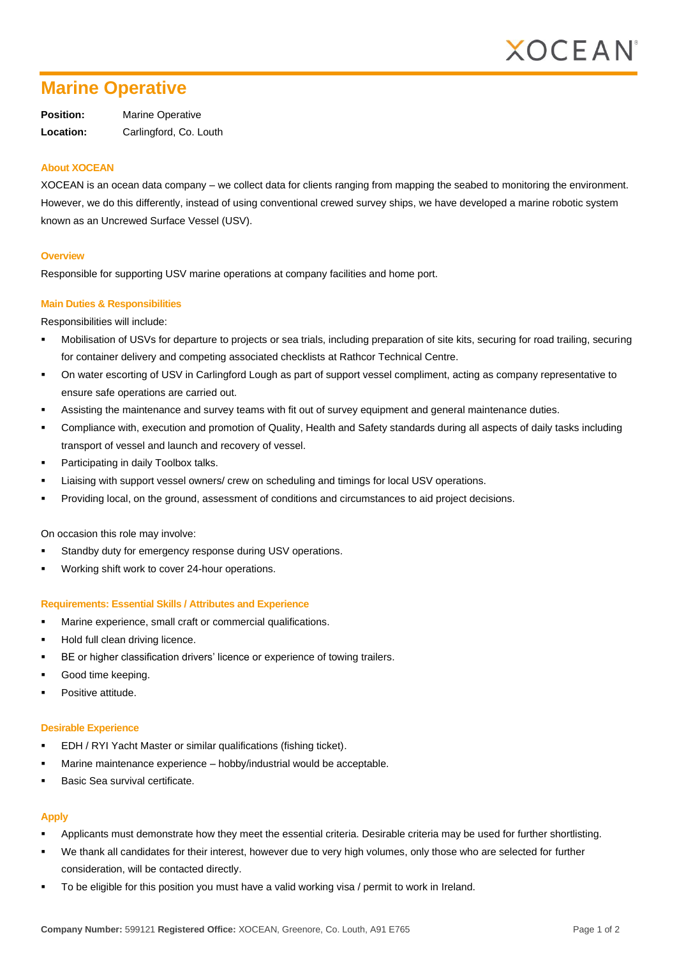

# **Marine Operative**

**Position:** Marine Operative **Location:** Carlingford, Co. Louth

### **About XOCEAN**

XOCEAN is an ocean data company – we collect data for clients ranging from mapping the seabed to monitoring the environment. However, we do this differently, instead of using conventional crewed survey ships, we have developed a marine robotic system known as an Uncrewed Surface Vessel (USV).

#### **Overview**

Responsible for supporting USV marine operations at company facilities and home port.

#### **Main Duties & Responsibilities**

Responsibilities will include:

- Mobilisation of USVs for departure to projects or sea trials, including preparation of site kits, securing for road trailing, securing for container delivery and competing associated checklists at Rathcor Technical Centre.
- On water escorting of USV in Carlingford Lough as part of support vessel compliment, acting as company representative to ensure safe operations are carried out.
- Assisting the maintenance and survey teams with fit out of survey equipment and general maintenance duties.
- Compliance with, execution and promotion of Quality, Health and Safety standards during all aspects of daily tasks including transport of vessel and launch and recovery of vessel.
- Participating in daily Toolbox talks.
- Liaising with support vessel owners/ crew on scheduling and timings for local USV operations.
- Providing local, on the ground, assessment of conditions and circumstances to aid project decisions.

On occasion this role may involve:

- Standby duty for emergency response during USV operations.
- Working shift work to cover 24-hour operations.

#### **Requirements: Essential Skills / Attributes and Experience**

- Marine experience, small craft or commercial qualifications.
- Hold full clean driving licence.
- BE or higher classification drivers' licence or experience of towing trailers.
- Good time keeping.
- Positive attitude.

## **Desirable Experience**

- EDH / RYI Yacht Master or similar qualifications (fishing ticket).
- Marine maintenance experience hobby/industrial would be acceptable.
- Basic Sea survival certificate.

# **Apply**

- Applicants must demonstrate how they meet the essential criteria. Desirable criteria may be used for further shortlisting.
- We thank all candidates for their interest, however due to very high volumes, only those who are selected for further consideration, will be contacted directly.
- To be eligible for this position you must have a valid working visa / permit to work in Ireland.